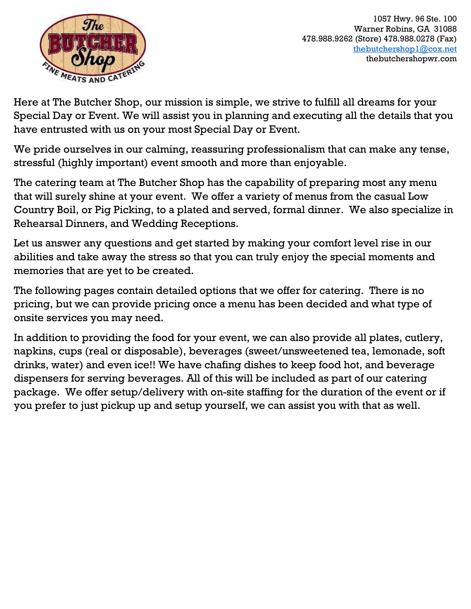

1057 Hwy. 96 Ste. 100 Warner Robins, GA 31088 478.988.9262 (Store) 478.988.0278 (Fax) [thebutchershop1@cox.net](mailto:thebutchershop1@cox.net) thebutchershopwr.com

Here at The Butcher Shop, our mission is simple, we strive to fulfill all dreams for your Special Day or Event. We will assist you in planning and executing all the details that you have entrusted with us on your most Special Day or Event.

We pride ourselves in our calming, reassuring professionalism that can make any tense, stressful (highly important) event smooth and more than enjoyable.

The catering team at The Butcher Shop has the capability of preparing most any menu that will surely shine at your event. We offer a variety of menus from the casual Low Country Boil, or Pig Picking, to a plated and served, formal dinner. We also specialize in Rehearsal Dinners, and Wedding Receptions.

Let us answer any questions and get started by making your comfort level rise in our abilities and take away the stress so that you can truly enjoy the special moments and memories that are yet to be created.

The following pages contain detailed options that we offer for catering. There is no pricing, but we can provide pricing once a menu has been decided and what type of onsite services you may need.

In addition to providing the food for your event, we can also provide all plates, cutlery, napkins, cups (real or disposable), beverages (sweet/unsweetened tea, lemonade, soft drinks, water) and even ice!! We have chafing dishes to keep food hot, and beverage dispensers for serving beverages. All of this will be included as part of our catering package. We offer setup/delivery with on-site staffing for the duration of the event or if you prefer to just pickup up and setup yourself, we can assist you with that as well.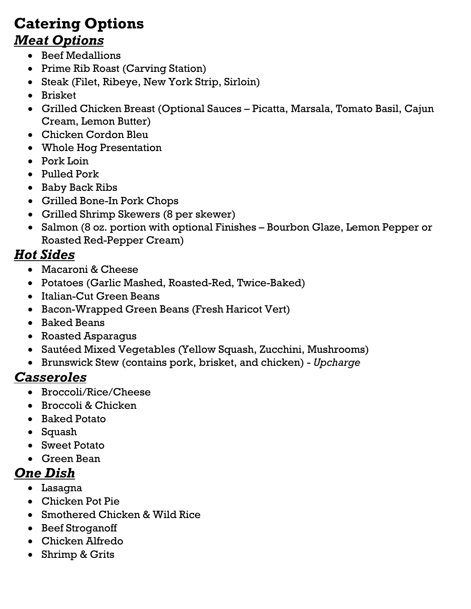### **Catering Options** *Meat Options*

- Beef Medallions
- Prime Rib Roast (Carving Station)
- Steak (Filet, Ribeye, New York Strip, Sirloin)
- Brisket
- Grilled Chicken Breast (Optional Sauces Picatta, Marsala, Tomato Basil, Cajun Cream, Lemon Butter)
- Chicken Cordon Bleu
- Whole Hog Presentation
- Pork Loin
- Pulled Pork
- Baby Back Ribs
- Grilled Bone-In Pork Chops
- Grilled Shrimp Skewers (8 per skewer)
- Salmon (8 oz. portion with optional Finishes Bourbon Glaze, Lemon Pepper or Roasted Red-Pepper Cream)

#### *Hot Sides*

- Macaroni & Cheese
- Potatoes (Garlic Mashed, Roasted-Red, Twice-Baked)
- Italian-Cut Green Beans
- Bacon-Wrapped Green Beans (Fresh Haricot Vert)
- Baked Beans
- Roasted Asparagus
- Sautéed Mixed Vegetables (Yellow Squash, Zucchini, Mushrooms)
- Brunswick Stew (contains pork, brisket, and chicken) *Upcharge*

#### *Casseroles*

- Broccoli/Rice/Cheese
- Broccoli & Chicken
- Baked Potato
- Squash
- Sweet Potato
- Green Bean

#### *One Dish*

- Lasagna
- Chicken Pot Pie
- Smothered Chicken & Wild Rice
- Beef Stroganoff
- Chicken Alfredo
- Shrimp & Grits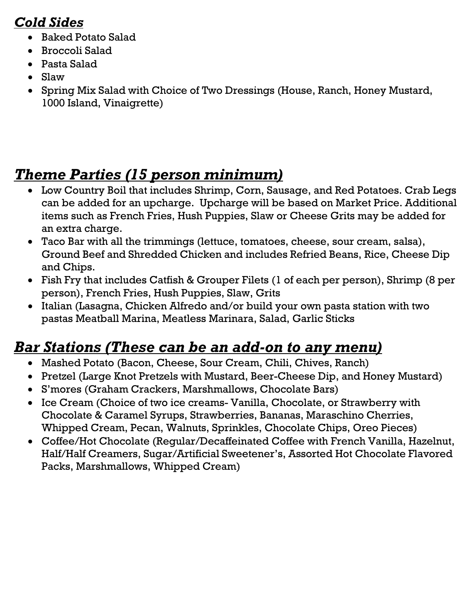#### *Cold Sides*

- Baked Potato Salad
- Broccoli Salad
- Pasta Salad
- Slaw
- Spring Mix Salad with Choice of Two Dressings (House, Ranch, Honey Mustard, 1000 Island, Vinaigrette)

# *Theme Parties (15 person minimum)*

- Low Country Boil that includes Shrimp, Corn, Sausage, and Red Potatoes. Crab Legs can be added for an upcharge. Upcharge will be based on Market Price. Additional items such as French Fries, Hush Puppies, Slaw or Cheese Grits may be added for an extra charge.
- Taco Bar with all the trimmings (lettuce, tomatoes, cheese, sour cream, salsa), Ground Beef and Shredded Chicken and includes Refried Beans, Rice, Cheese Dip and Chips.
- Fish Fry that includes Catfish & Grouper Filets (1 of each per person), Shrimp (8 per person), French Fries, Hush Puppies, Slaw, Grits
- Italian (Lasagna, Chicken Alfredo and/or build your own pasta station with two pastas Meatball Marina, Meatless Marinara, Salad, Garlic Sticks

# *Bar Stations (These can be an add-on to any menu)*

- Mashed Potato (Bacon, Cheese, Sour Cream, Chili, Chives, Ranch)
- Pretzel (Large Knot Pretzels with Mustard, Beer-Cheese Dip, and Honey Mustard)
- S'mores (Graham Crackers, Marshmallows, Chocolate Bars)
- Ice Cream (Choice of two ice creams- Vanilla, Chocolate, or Strawberry with Chocolate & Caramel Syrups, Strawberries, Bananas, Maraschino Cherries, Whipped Cream, Pecan, Walnuts, Sprinkles, Chocolate Chips, Oreo Pieces)
- Coffee/Hot Chocolate (Regular/Decaffeinated Coffee with French Vanilla, Hazelnut, Half/Half Creamers, Sugar/Artificial Sweetener's, Assorted Hot Chocolate Flavored Packs, Marshmallows, Whipped Cream)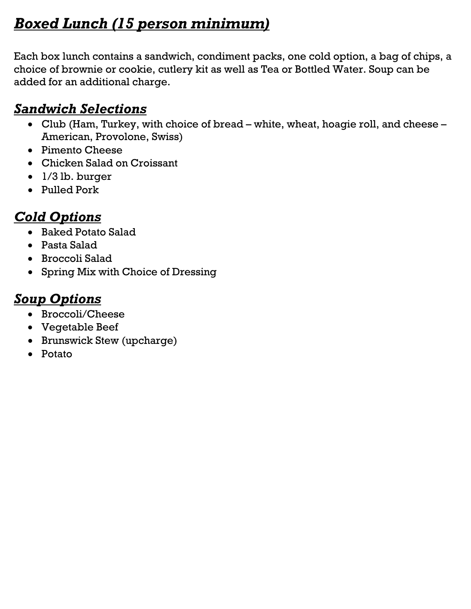# *Boxed Lunch (15 person minimum)*

Each box lunch contains a sandwich, condiment packs, one cold option, a bag of chips, a choice of brownie or cookie, cutlery kit as well as Tea or Bottled Water. Soup can be added for an additional charge.

#### *Sandwich Selections*

- Club (Ham, Turkey, with choice of bread white, wheat, hoagie roll, and cheese American, Provolone, Swiss)
- Pimento Cheese
- Chicken Salad on Croissant
- 1/3 lb. burger
- Pulled Pork

### *Cold Options*

- Baked Potato Salad
- Pasta Salad
- Broccoli Salad
- Spring Mix with Choice of Dressing

#### *Soup Options*

- Broccoli/Cheese
- Vegetable Beef
- Brunswick Stew (upcharge)
- Potato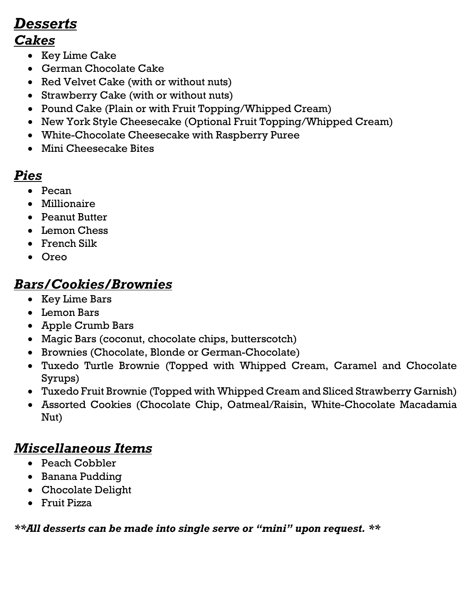# *Desserts*

#### *Cakes*

- Key Lime Cake
- German Chocolate Cake
- Red Velvet Cake (with or without nuts)
- Strawberry Cake (with or without nuts)
- Pound Cake (Plain or with Fruit Topping/Whipped Cream)
- New York Style Cheesecake (Optional Fruit Topping/Whipped Cream)
- White-Chocolate Cheesecake with Raspberry Puree
- Mini Cheesecake Bites

#### *Pies*

- Pecan
- Millionaire
- Peanut Butter
- Lemon Chess
- French Silk
- Oreo

#### *Bars/Cookies/Brownies*

- Key Lime Bars
- Lemon Bars
- Apple Crumb Bars
- Magic Bars (coconut, chocolate chips, butterscotch)
- Brownies (Chocolate, Blonde or German-Chocolate)
- Tuxedo Turtle Brownie (Topped with Whipped Cream, Caramel and Chocolate Syrups)
- Tuxedo Fruit Brownie (Topped with Whipped Cream and Sliced Strawberry Garnish)
- Assorted Cookies (Chocolate Chip, Oatmeal/Raisin, White-Chocolate Macadamia Nut)

# *Miscellaneous Items*

- Peach Cobbler
- Banana Pudding
- Chocolate Delight
- Fruit Pizza

*\*\*All desserts can be made into single serve or "mini" upon request. \*\**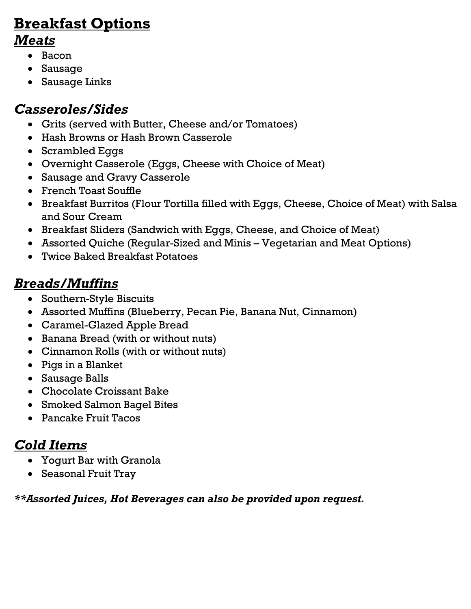# **Breakfast Options**

#### *Meats*

- Bacon
- Sausage
- Sausage Links

# *Casseroles/Sides*

- Grits (served with Butter, Cheese and/or Tomatoes)
- Hash Browns or Hash Brown Casserole
- Scrambled Eggs
- Overnight Casserole (Eggs, Cheese with Choice of Meat)
- Sausage and Gravy Casserole
- French Toast Souffle
- Breakfast Burritos (Flour Tortilla filled with Eggs, Cheese, Choice of Meat) with Salsa and Sour Cream
- Breakfast Sliders (Sandwich with Eggs, Cheese, and Choice of Meat)
- Assorted Quiche (Regular-Sized and Minis Vegetarian and Meat Options)
- Twice Baked Breakfast Potatoes

# *Breads/Muffins*

- Southern-Style Biscuits
- Assorted Muffins (Blueberry, Pecan Pie, Banana Nut, Cinnamon)
- Caramel-Glazed Apple Bread
- Banana Bread (with or without nuts)
- Cinnamon Rolls (with or without nuts)
- Pigs in a Blanket
- Sausage Balls
- Chocolate Croissant Bake
- Smoked Salmon Bagel Bites
- Pancake Fruit Tacos

# *Cold Items*

- Yogurt Bar with Granola
- Seasonal Fruit Tray

#### *\*\*Assorted Juices, Hot Beverages can also be provided upon request.*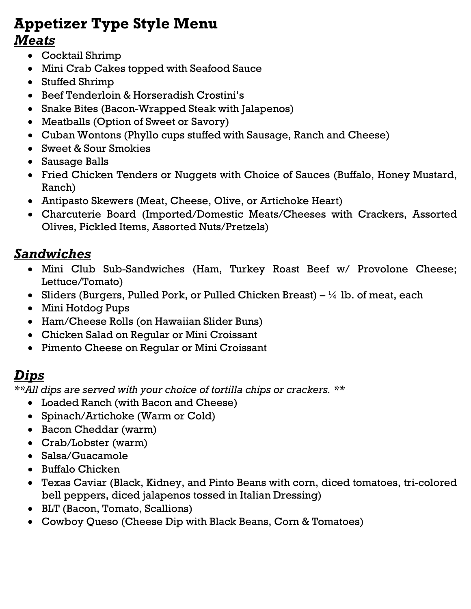# **Appetizer Type Style Menu**

#### *Meats*

- Cocktail Shrimp
- Mini Crab Cakes topped with Seafood Sauce
- Stuffed Shrimp
- Beef Tenderloin & Horseradish Crostini's
- Snake Bites (Bacon-Wrapped Steak with Jalapenos)
- Meatballs (Option of Sweet or Savory)
- Cuban Wontons (Phyllo cups stuffed with Sausage, Ranch and Cheese)
- Sweet & Sour Smokies
- Sausage Balls
- Fried Chicken Tenders or Nuggets with Choice of Sauces (Buffalo, Honey Mustard, Ranch)
- Antipasto Skewers (Meat, Cheese, Olive, or Artichoke Heart)
- Charcuterie Board (Imported/Domestic Meats/Cheeses with Crackers, Assorted Olives, Pickled Items, Assorted Nuts/Pretzels)

#### *Sandwiches*

- Mini Club Sub-Sandwiches (Ham, Turkey Roast Beef w/ Provolone Cheese; Lettuce/Tomato)
- Sliders (Burgers, Pulled Pork, or Pulled Chicken Breast)  $\frac{1}{4}$  lb. of meat, each
- Mini Hotdog Pups
- Ham/Cheese Rolls (on Hawaiian Slider Buns)
- Chicken Salad on Regular or Mini Croissant
- Pimento Cheese on Regular or Mini Croissant

#### *Dips*

*\*\*All dips are served with your choice of tortilla chips or crackers. \*\**

- Loaded Ranch (with Bacon and Cheese)
- Spinach/Artichoke (Warm or Cold)
- Bacon Cheddar (warm)
- Crab/Lobster (warm)
- Salsa/Guacamole
- Buffalo Chicken
- Texas Caviar (Black, Kidney, and Pinto Beans with corn, diced tomatoes, tri-colored bell peppers, diced jalapenos tossed in Italian Dressing)
- BLT (Bacon, Tomato, Scallions)
- Cowboy Queso (Cheese Dip with Black Beans, Corn & Tomatoes)